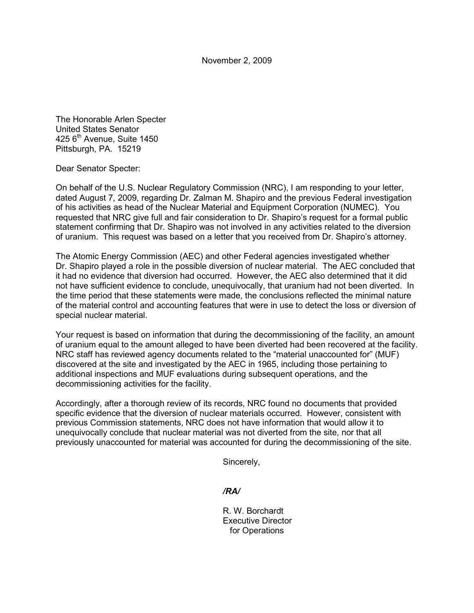November 2, 2009

The Honorable Arlen Specter United States Senator  $425$  6<sup>th</sup> Avenue, Suite 1450 Pittsburgh, PA. 15219

Dear Senator Specter:

On behalf of the U.S. Nuclear Regulatory Commission (NRC), I am responding to your letter, dated August 7, 2009, regarding Dr. Zalman M. Shapiro and the previous Federal investigation of his activities as head of the Nuclear Material and Equipment Corporation (NUMEC). You requested that NRC give full and fair consideration to Dr. Shapiro's request for a formal public statement confirming that Dr. Shapiro was not involved in any activities related to the diversion of uranium. This request was based on a letter that you received from Dr. Shapiro's attorney.

The Atomic Energy Commission (AEC) and other Federal agencies investigated whether Dr. Shapiro played a role in the possible diversion of nuclear material. The AEC concluded that it had no evidence that diversion had occurred. However, the AEC also determined that it did not have sufficient evidence to conclude, unequivocally, that uranium had not been diverted. In the time period that these statements were made, the conclusions reflected the minimal nature of the material control and accounting features that were in use to detect the loss or diversion of special nuclear material.

Your request is based on information that during the decommissioning of the facility, an amount of uranium equal to the amount alleged to have been diverted had been recovered at the facility. NRC staff has reviewed agency documents related to the "material unaccounted for" (MUF) discovered at the site and investigated by the AEC in 1965, including those pertaining to additional inspections and MUF evaluations during subsequent operations, and the decommissioning activities for the facility.

Accordingly, after a thorough review of its records, NRC found no documents that provided specific evidence that the diversion of nuclear materials occurred. However, consistent with previous Commission statements, NRC does not have information that would allow it to unequivocally conclude that nuclear material was not diverted from the site, nor that all previously unaccounted for material was accounted for during the decommissioning of the site.

Sincerely,

*/RA/* 

 R. W. Borchardt Executive Director for Operations